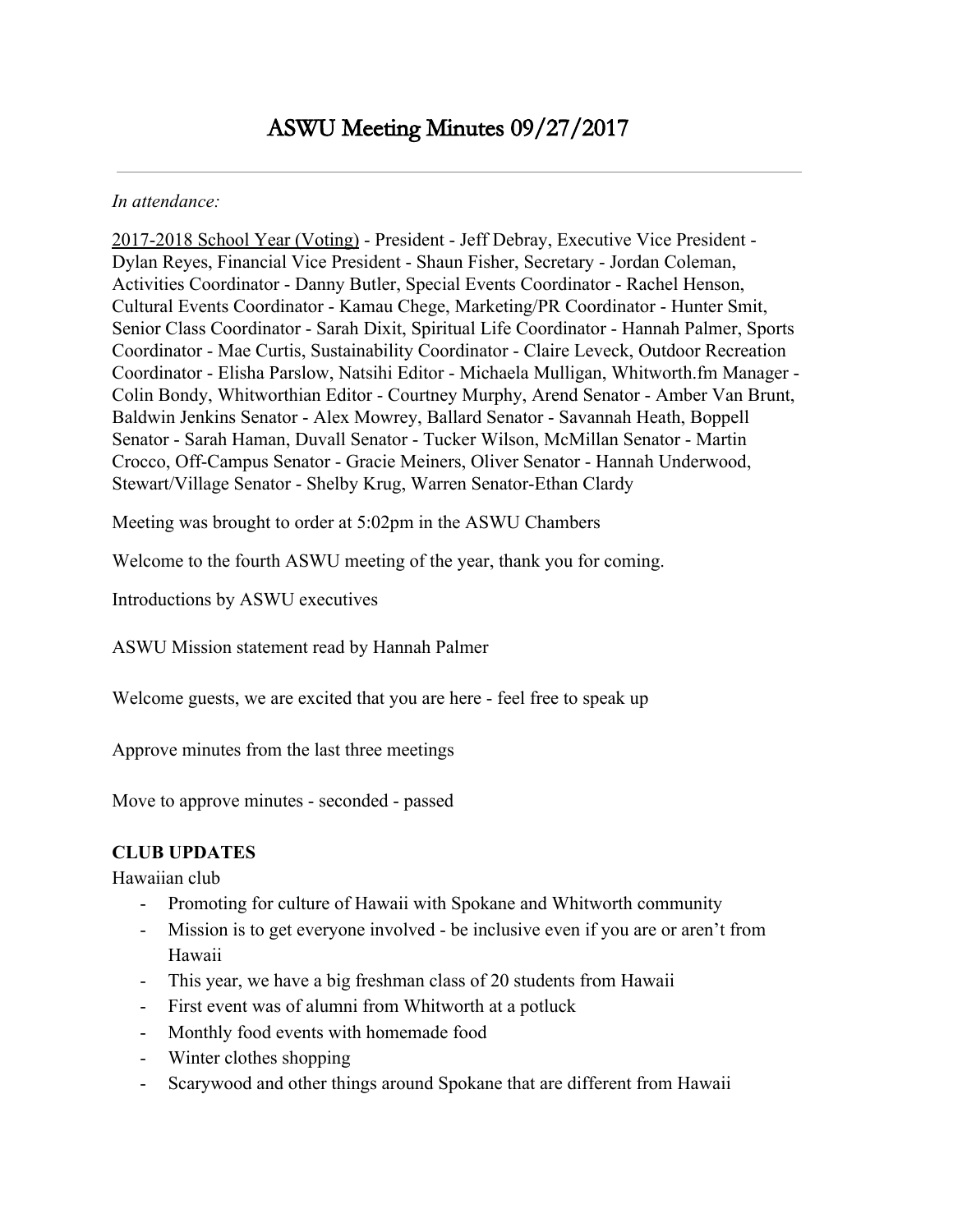#### *In attendance:*

2017-2018 School Year (Voting) - President - Jeff Debray, Executive Vice President - Dylan Reyes, Financial Vice President - Shaun Fisher, Secretary - Jordan Coleman, Activities Coordinator - Danny Butler, Special Events Coordinator - Rachel Henson, Cultural Events Coordinator - Kamau Chege, Marketing/PR Coordinator - Hunter Smit, Senior Class Coordinator - Sarah Dixit, Spiritual Life Coordinator - Hannah Palmer, Sports Coordinator - Mae Curtis, Sustainability Coordinator - Claire Leveck, Outdoor Recreation Coordinator - Elisha Parslow, Natsihi Editor - Michaela Mulligan, Whitworth.fm Manager - Colin Bondy, Whitworthian Editor - Courtney Murphy, Arend Senator - Amber Van Brunt, Baldwin Jenkins Senator - Alex Mowrey, Ballard Senator - Savannah Heath, Boppell Senator - Sarah Haman, Duvall Senator - Tucker Wilson, McMillan Senator - Martin Crocco, Off-Campus Senator - Gracie Meiners, Oliver Senator - Hannah Underwood, Stewart/Village Senator - Shelby Krug, Warren Senator-Ethan Clardy

Meeting was brought to order at 5:02pm in the ASWU Chambers

Welcome to the fourth ASWU meeting of the year, thank you for coming.

Introductions by ASWU executives

ASWU Mission statement read by Hannah Palmer

Welcome guests, we are excited that you are here - feel free to speak up

Approve minutes from the last three meetings

Move to approve minutes - seconded - passed

### **CLUB UPDATES**

Hawaiian club

- Promoting for culture of Hawaii with Spokane and Whitworth community
- Mission is to get everyone involved be inclusive even if you are or aren't from Hawaii
- This year, we have a big freshman class of 20 students from Hawaii
- First event was of alumni from Whitworth at a potluck
- Monthly food events with homemade food
- Winter clothes shopping
- Scarywood and other things around Spokane that are different from Hawaii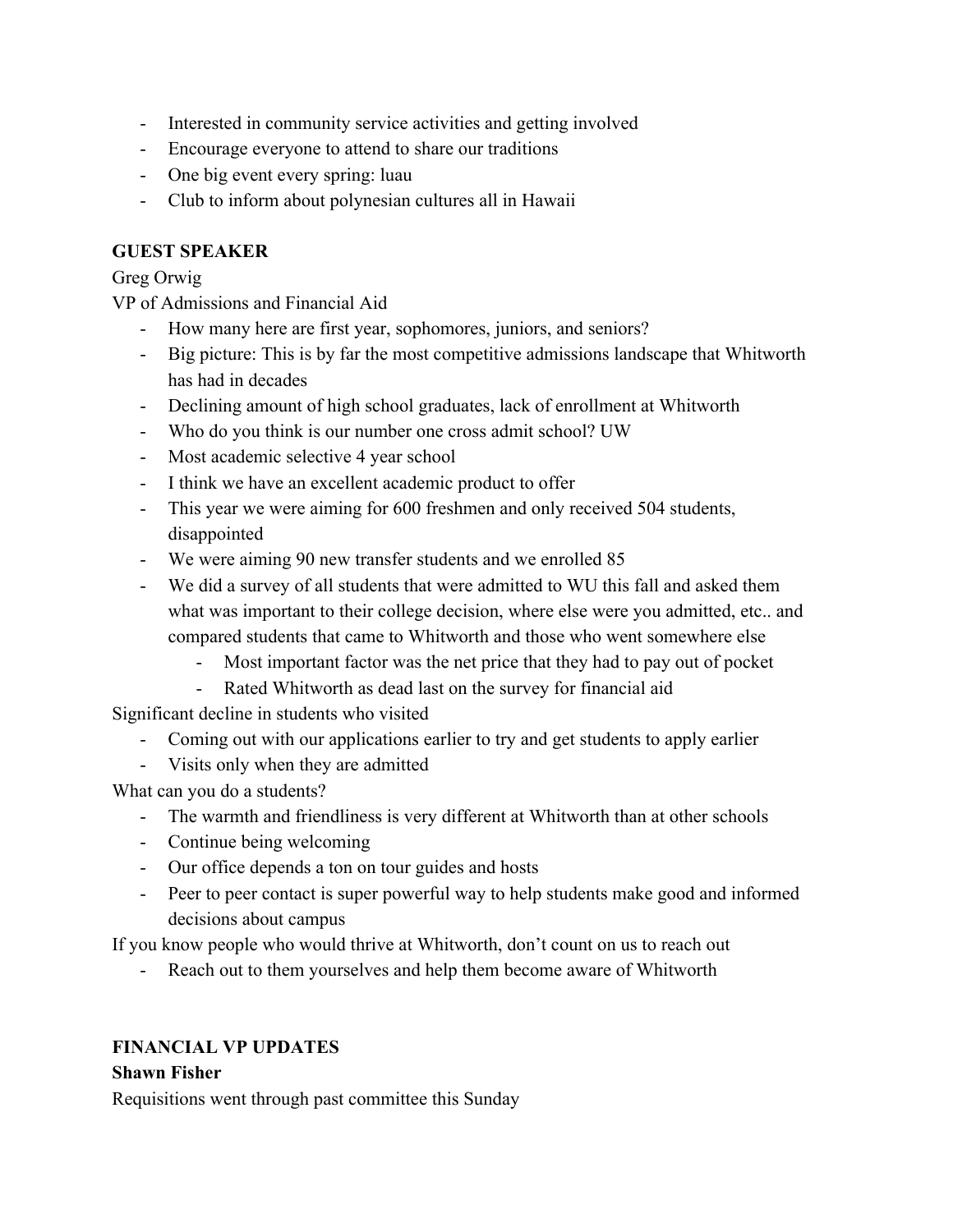- Interested in community service activities and getting involved
- Encourage everyone to attend to share our traditions
- One big event every spring: luau
- Club to inform about polynesian cultures all in Hawaii

# **GUEST SPEAKER**

## Greg Orwig

VP of Admissions and Financial Aid

- How many here are first year, sophomores, juniors, and seniors?
- Big picture: This is by far the most competitive admissions landscape that Whitworth has had in decades
- Declining amount of high school graduates, lack of enrollment at Whitworth
- Who do you think is our number one cross admit school? UW
- Most academic selective 4 year school
- I think we have an excellent academic product to offer
- This year we were aiming for 600 freshmen and only received 504 students, disappointed
- We were aiming 90 new transfer students and we enrolled 85
- We did a survey of all students that were admitted to WU this fall and asked them what was important to their college decision, where else were you admitted, etc.. and compared students that came to Whitworth and those who went somewhere else
	- Most important factor was the net price that they had to pay out of pocket
	- Rated Whitworth as dead last on the survey for financial aid

Significant decline in students who visited

- Coming out with our applications earlier to try and get students to apply earlier
- Visits only when they are admitted

What can you do a students?

- The warmth and friendliness is very different at Whitworth than at other schools
- Continue being welcoming
- Our office depends a ton on tour guides and hosts
- Peer to peer contact is super powerful way to help students make good and informed decisions about campus

If you know people who would thrive at Whitworth, don't count on us to reach out

- Reach out to them yourselves and help them become aware of Whitworth

# **FINANCIAL VP UPDATES**

### **Shawn Fisher**

Requisitions went through past committee this Sunday